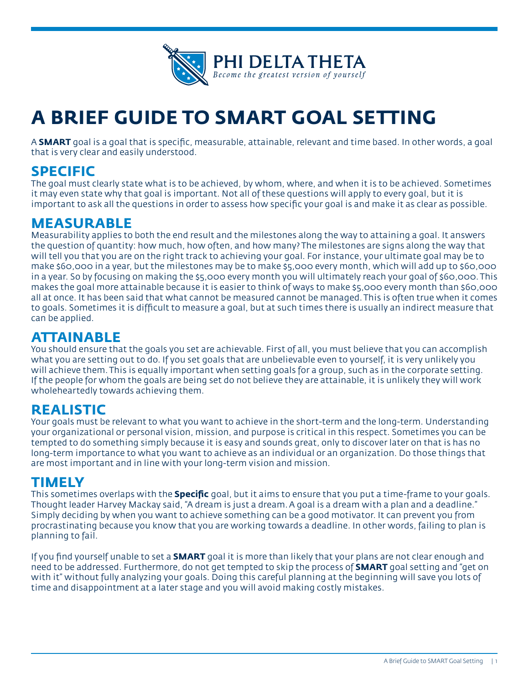

# **A BRIEF GUIDE TO SMART GOAL SETTING**

A **SMART** goal is a goal that is specific, measurable, attainable, relevant and time based. In other words, a goal that is very clear and easily understood.

### **SPECIFIC**

The goal must clearly state what is to be achieved, by whom, where, and when it is to be achieved. Sometimes it may even state why that goal is important. Not all of these questions will apply to every goal, but it is important to ask all the questions in order to assess how specific your goal is and make it as clear as possible.

## **MEASURABLE**

Measurability applies to both the end result and the milestones along the way to attaining a goal. It answers the question of quantity: how much, how often, and how many? The milestones are signs along the way that will tell you that you are on the right track to achieving your goal. For instance, your ultimate goal may be to make \$60,000 in a year, but the milestones may be to make \$5,000 every month, which will add up to \$60,000 in a year. So by focusing on making the \$5,000 every month you will ultimately reach your goal of \$60,000. This makes the goal more attainable because it is easier to think of ways to make \$5,000 every month than \$60,000 all at once. It has been said that what cannot be measured cannot be managed. This is often true when it comes to goals. Sometimes it is difficult to measure a goal, but at such times there is usually an indirect measure that can be applied.

## **ATTAINABLE**

You should ensure that the goals you set are achievable. First of all, you must believe that you can accomplish what you are setting out to do. If you set goals that are unbelievable even to yourself, it is very unlikely you will achieve them. This is equally important when setting goals for a group, such as in the corporate setting. If the people for whom the goals are being set do not believe they are attainable, it is unlikely they will work wholeheartedly towards achieving them.

### **REALISTIC**

Your goals must be relevant to what you want to achieve in the short-term and the long-term. Understanding your organizational or personal vision, mission, and purpose is critical in this respect. Sometimes you can be tempted to do something simply because it is easy and sounds great, only to discover later on that is has no long-term importance to what you want to achieve as an individual or an organization. Do those things that are most important and in line with your long-term vision and mission.

#### **TIMELY**

This sometimes overlaps with the **Specific** goal, but it aims to ensure that you put a time-frame to your goals. Thought leader Harvey Mackay said, "A dream is just a dream. A goal is a dream with a plan and a deadline." Simply deciding by when you want to achieve something can be a good motivator. It can prevent you from procrastinating because you know that you are working towards a deadline. In other words, failing to plan is planning to fail.

If you find yourself unable to set a **SMART** goal it is more than likely that your plans are not clear enough and need to be addressed. Furthermore, do not get tempted to skip the process of **SMART** goal setting and "get on with it" without fully analyzing your goals. Doing this careful planning at the beginning will save you lots of time and disappointment at a later stage and you will avoid making costly mistakes.